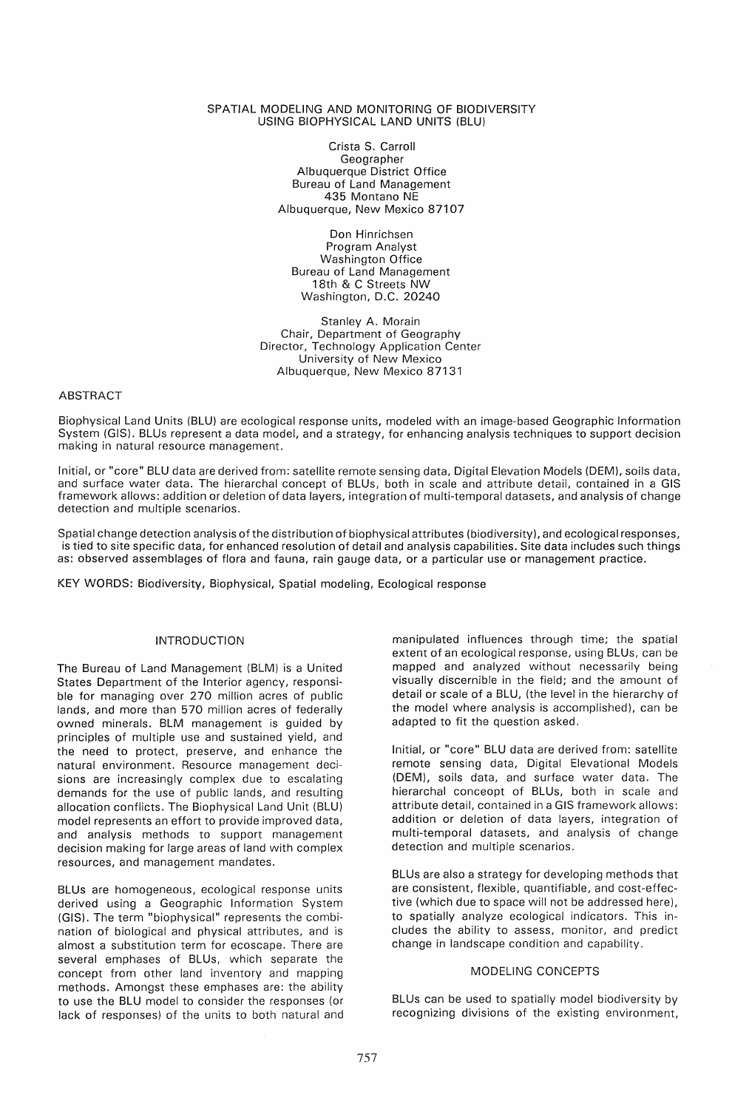### SPATIAL MODELING AND MONITORING OF BIODIVERSITY USING BIOPHYSICAL LAND UNITS (BLU)

Crista S. Carroll Geographer Albuquerque District Office Bureau of Land Management 435 Montano NE Albuquerque, New Mexico 87107

Don Hinrichsen Program Analyst Washington Office Bureau of Land Management 18th & C Streets NW Washington, D.C. 20240

Stanley A. Morain Chair, Department of Geography Director, Technology Application Center University of New Mexico Albuquerque, New Mexico 87131

## ABSTRACT

Biophysical Land Units (BLU) are ecological response units, modeled with an image-based Geographic Information System (GIS). BLUs represent a data model, and a strategy, for enhancing analysis techniques to support decision making in natural resource management.

Initial, or "core" BLU data are derived from: satellite remote sensing data, Digital Elevation Models (OEM), soils data, and surface water data. The hierarchal concept of BLUs, both in scale and attribute detail, contained in a GIS framework allows: addition or deletion of data layers, integration of mUlti-temporal datasets, and analysis of change detection and multiple scenarios.

Spatial change detection analysis of the distribution of biophysical attributes (biodiversity), and ecological responses, is tied to site specific data, for enhanced resolution of detail and analysis capabilities. Site data includes such things as: observed assemblages of flora and fauna, rain gauge data, or a particular use or management practice.

KEY WORDS: Biodiversity, Biophysical, Spatial modeling, Ecological response

# INTRODUCTION

The Bureau of Land Management (BLM) is a United States Department of the Interior agency, responsible for managing over 270 million acres of public lands, and more than 570 million acres of federally owned minerals. BLM management is guided by principles of multiple use and sustained yield, and the need to protect, preserve, and enhance the natural environment. Resource management decisions are increasingly complex due to escalating demands for the use of public lands, and resulting allocation conflicts. The Biophysical Land Unit (BLU) model represents an effort to provide improved data, and analysis methods to support management decision making for large areas of land with complex resources, and management mandates.

BLUs are homogeneous, ecological response units derived using a Geographic Information System (GIS). The term "biophysical" represents the combination of biological and physical attributes, and is almost a substitution term for ecoscape. There are several emphases of BLUs, which separate the concept from other land inventory and mapping methods. Amongst these emphases are: the ability to use the BLU model to consider the responses (or lack of responses) of the units to both natural and manipulated influences through time; the spatial extent of an ecological response, using BLUs, can be mapped and analyzed without necessarily being visually discernible in the field; and the amount of detail or scale of a BLU, (the level in the hierarchy of the model where analysis is accomplished), can be adapted to fit the question asked.

Initial, or "core" BLU data are derived from: satellite remote sensing data, Digital Elevational Models (OEM), soils data, and surface water data. The hierarchal conceopt of BLUs, both in scale and attribute detail, contained in a GIS framework allows: addition or deletion of data layers, integration of multi-temporal datasets, and analysis of change detection and multiple scenarios.

BLUs are also a strategy for developing methods that are consistent, flexible, quantifiable, and cost-effective (which due to space will not be addressed here), to spatially analyze ecological indicators. This includes the ability to assess, monitor, and predict change in landscape condition and capability.

## MODELING CONCEPTS

BLUs can be used to spatially model biodiversity by recognizing divisions of the existing environment,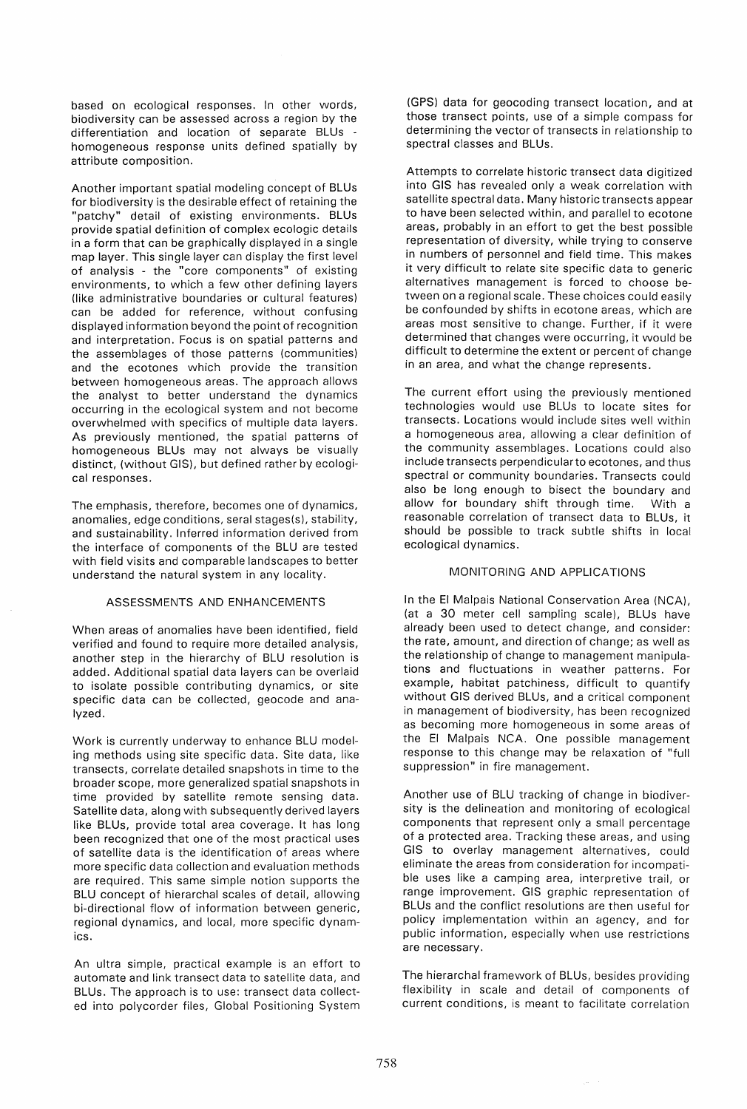based on ecological responses. In other words, biodiversity can be assessed across a region by the differentiation and location of separate BLUs homogeneous response units defined spatially by attribute composition.

Another important spatial modeling concept of BLUs for biodiversity is the desirable effect of retaining the "patchy" detail of existing environments. BLUs provide spatial definition of complex ecologic details in a form that can be graphically displayed in a single map layer. This single layer can display the first level of analysis - the "core components" of existing environments, to which a few other defining layers (like administrative boundaries or cultural features) can be added for reference, without confusing displayed information beyond the point of recognition and interpretation. Focus is on spatial patterns and the assemblages of those patterns (communities) and the ecotones which provide the transition between homogeneous areas. The approach allows the analyst to better understand the dynamics occurring in the ecological system and not become overwhelmed with specifics of multiple data layers. As previously mentioned, the spatial patterns of homogeneous BLUs may not always be visually distinct, (without GIS), but defined rather by ecological responses.

The emphasis, therefore, becomes one of dynamics, anomalies, edge conditions, seral stages(s), stability, and sustainability. Inferred information derived from the interface of components of the BLU are tested with field visits and comparable landscapes to better understand the natural system in any locality.

### ASSESSMENTS AND ENHANCEMENTS

When areas of anomalies have been identified, field verified and found to require more detailed analysis, another step in the hierarchy of BLU resolution is added. Additional spatial data layers can be overlaid to isolate possible contributing dynamics, or site specific data can be collected, geocode and analyzed.

Work is currently underway to enhance BLU modeling methods using site specific data. Site data, like transects, correlate detailed snapshots in time to the broader scope, more generalized spatial snapshots in time provided by satellite remote sensing data. Satellite data, along with subsequently derived layers like BLUs, provide total area coverage. It has long been recognized that one of the most practical uses of satellite data is the identification of areas where more specific data collection and evaluation methods are required. This same simple notion supports the BLU concept of hierarchal scales of detail, allowing bi-directional flow of information between generic, regional dynamics, and local, more specific dynamics.

An ultra simple, practical example is an effort to automate and link transect data to satellite data, and BLUs. The approach is to use: transect data collected into polycorder files, Global Positioning System

(GPS) data for geocoding transect location, and at those transect points, use of a simple compass for determining the vector of transects in relationship to spectral classes and BLUs.

Attempts to correlate historic transect data digitized into GIS has revealed only a weak correlation with satellite spectral data. Many historic transects appear to have been selected within, and parallel to ecotone areas, probably in an effort to get the best possible representation of diversity, while trying to conserve in numbers of personnel and field time. This makes it very difficult to relate site specific data to generic alternatives management is forced to choose between on a regional scale. These choices could easily be confounded by shifts in ecotone areas, which are areas most sensitive to change. Further, if it were determined that changes were occurring, it would be difficult to determine the extent or percent of change in an area, and what the change represents.

The current effort using the previously mentioned technologies would use BLUs to locate sites for transects. Locations would include sites well within a homogeneous area, allowing a clear definition of the community assemblages. Locations could also include transects perpendicularto ecotones, and thus spectral or community boundaries. Transects could also be long enough to bisect the boundary and allow for boundary shift through time. With a reasonable correlation of transect data to BLUs, it should be possible to track subtle shifts in local ecological dynamics.

### MONITORING AND APPLICATIONS

In the EI Malpais National Conservation Area (NCA), (at a 30 meter cell sampling scale), BLUs have already been used to detect change, and consider: the rate, amount, and direction of change; as well as the relationship of change to management manipulations and fluctuations in weather patterns. For example, habitat patchiness, difficult to quantify without GIS derived BLUs, and a critical component in management of biodiversity, has been recognized as becoming more homogeneous in some areas of the EI Malpais NCA. One possible management response to this change may be relaxation of "full suppression" in fire management.

Another use of BLU tracking of change in biodiversity is the delineation and monitoring of ecological components that represent only a small percentage of a protected area. Tracking these areas, and using GIS to overlay management alternatives, could eliminate the areas from consideration for incompatible uses like a camping area, interpretive trail, or range improvement. GIS graphic representation of BLUs and the conflict resolutions are then useful for policy implementation within an agency, and for public information, especially when use restrictions are necessary.

The hierarchal framework of BLUs, besides providing flexibility in scale and detail of components of current conditions, is meant to facilitate correlation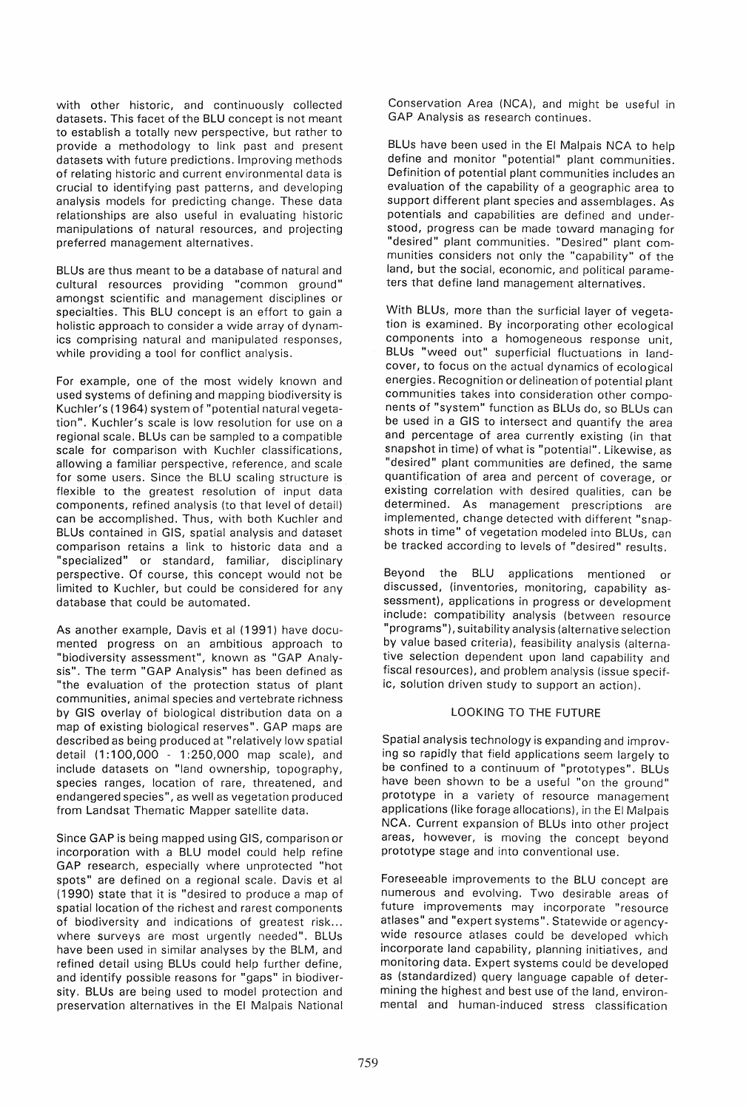with other historic, and continuously collected datasets. This facet of the BLU concept is not meant to establish a totally new perspective, but rather to provide a methodology to link past and present datasets with future predictions. Improving methods of relating historic and current environmental data is crucial to identifying past patterns, and developing analysis models for predicting change. These data relationships are also useful in evaluating historic manipulations of natural resources, and projecting preferred management alternatives.

BLUs are thus meant to be a database of natural and cultural resources providing "common ground" amongst scientific and management disciplines or specialties. This BLU concept is an effort to gain a holistic approach to consider a wide array of dynamics comprising natural and manipulated responses, while providing a tool for conflict analysis.

For example, one of the most widely known and used systems of defining and mapping biodiversity is Kuchler's (1964) system of "potential natural vegetation". Kuchler's scale is low resolution for use on a regional scale. BLUs can be sampled to a compatible scale for comparison with Kuchler classifications, allowing a familiar perspective, reference, and scale for some users. Since the BLU scaling structure is flexible to the greatest resolution of input data components, refined analysis (to that level of detail) can be accomplished. Thus, with both Kuchler and BLUs contained in GIS, spatial analysis and dataset comparison retains a link to historic data and a "specialized" or standard, familiar, disciplinary perspective. Of course, this concept would not be limited to Kuchler, but could be considered for any database that could be automated.

As another example, Davis et al (1991) have documented progress on an ambitious approach to "biodiversity assessment", known as "GAP Analysis". The term "GAP Analysis" has been defined as "the evaluation of the protection status of plant communities, animal species and vertebrate richness by GIS overlay of biological distribution data on a map of existing biological reserves". GAP maps are described as being produced at "relatively low spatial detail (1:100,000 - 1:250,000 map scale), and include datasets on "land ownership, topography, species ranges, location of rare, threatened, and endangered species", as well as vegetation produced from Landsat Thematic Mapper satellite data.

Since GAP is being mapped using GIS, comparison or incorporation with a BLU model could help refine GAP research, especially where unprotected "hot spots" are defined on a regional scale. Davis et al (1990) state that it is "desired to produce a map of spatial location of the richest and rarest components of biodiversity and indications of greatest risk... where surveys are most urgently needed". BLUs have been used in similar analyses by the BLM, and refined detail using BLUs could help further define, and identify possible reasons for "gaps" in biodiversity. BLUs are being used to model protection and preservation alternatives in the EI Malpais National Conservation Area (NCA), and might be useful in GAP Analysis as research continues.

BLUs have been used in the EI Malpais NCA to help define and monitor "potential" plant communities. Definition of potential plant communities includes an evaluation of the capability of a geographic area to support different plant species and assemblages. As potentials and capabilities are defined and understood, progress can be made toward managing for "desired" plant communities. "Desired" plant communities considers not only the "capability" of the land, but the social, economic, and political parameters that define land management alternatives.

With BLUs, more than the surficial layer of vegetation is examined. By incorporating other ecological components into a homogeneous response unit, BLUs "weed out" superficial fluctuations in landcover, to focus on the actual dynamics of ecological energies. Recognition or delineation of potential plant communities takes into consideration other components of "system" function as BLUs do, so BLUs can be used in a GIS to intersect and quantify the area and percentage of area currently existing (in that snapshot in time) of what is "potential". Likewise, as "desired" plant communities are defined, the same quantification of area and percent of coverage, or existing correlation with desired qualities, can be determined. As management prescriptions are implemented, change detected with different "snapshots in time" of vegetation modeled into BLUs, can be tracked according to levels of "desired" results.

Beyond the SLU applications mentioned or discussed, (inventories, monitoring, capability assessment), applications in progress or development include: compatibility analysis (between resource "programs"), suitability analysis (alternative selection by value based criteria), feasibility analysis (alternative selection dependent upon land capability and fiscal resources), and problem analysis (issue specific, solution driven study to support an action).

## LOOKING TO THE FUTURE

Spatial analysis technology is expanding and improving so rapidly that field applications seem largely to be confined to a continuum of "prototypes". BLUs have been shown to be a useful "on the ground" prototype in a variety of resource management applications (like forage allocations), in the EI Malpais NCA. Current expansion of BLUs into other project areas, however, is moving the concept beyond prototype stage and into conventional use.

Foreseeable improvements to the BLU concept are numerous and evolving. Two desirable areas of future improvements may incorporate "resource atlases" and "expert systems". Statewide or agencywide resource atlases could be developed which incorporate land capability, planning initiatives, and monitoring data. Expert systems could be developed as (standardized) query language capable of determining the highest and best use of the land, environmental and human-induced stress classification